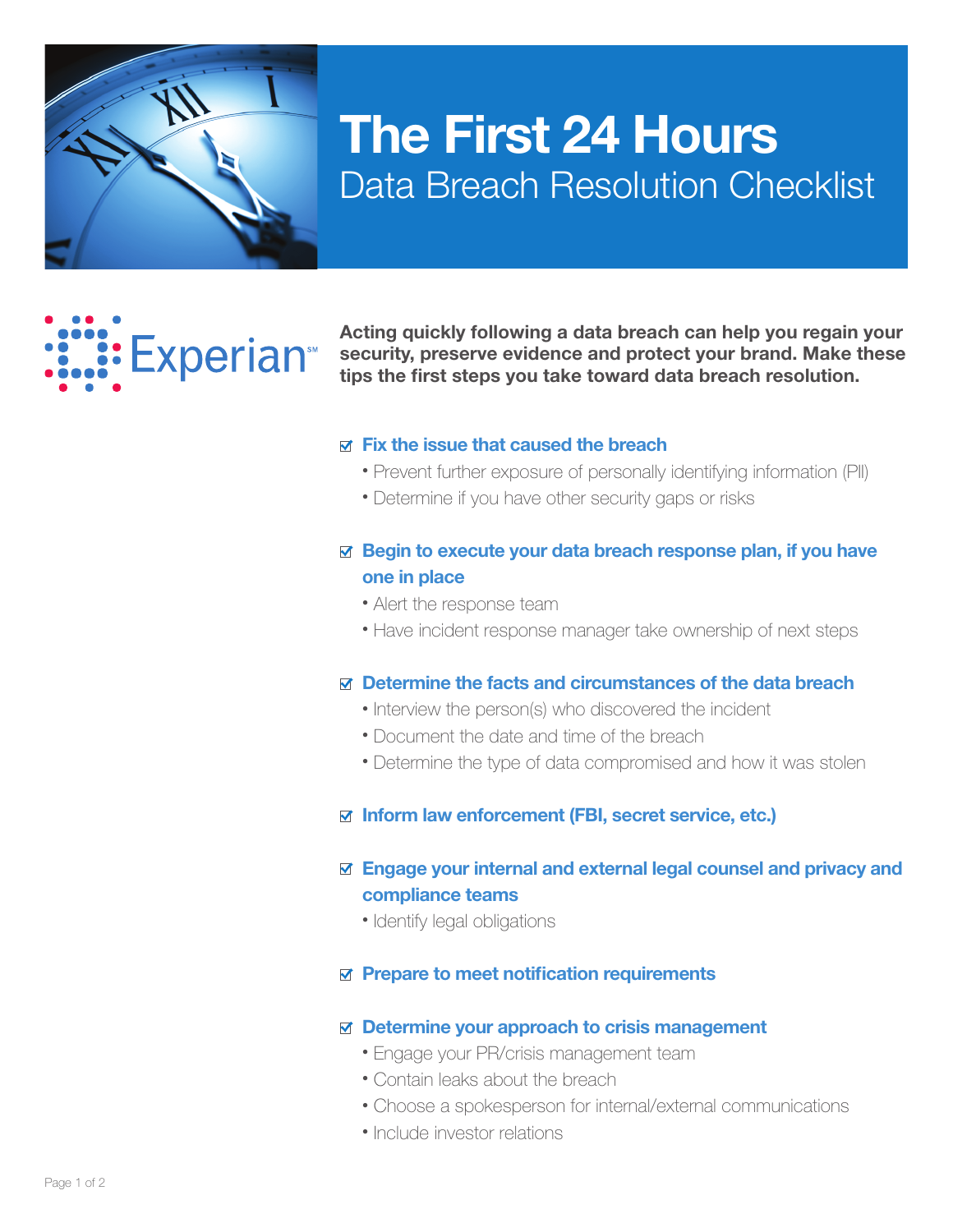

# The First 24 Hours Data Breach Resolution Checklist

# **: Experian**

Acting quickly following a data breach can help you regain your security, preserve evidence and protect your brand. Make these tips the first steps you take toward data breach resolution.

#### $\triangledown$  Fix the issue that caused the breach

- Prevent further exposure of personally identifying information (PII)
- Determine if you have other security gaps or risks

## $\boxtimes$  Begin to execute your data breach response plan, if you have one in place

- Alert the response team
- Have incident response manager take ownership of next steps

#### $\boxtimes$  Determine the facts and circumstances of the data breach

- Interview the person(s) who discovered the incident
- Document the date and time of the breach
- Determine the type of data compromised and how it was stolen

#### $\boxtimes$  Inform law enforcement (FBI, secret service, etc.)

#### Engage your internal and external legal counsel and privacy and compliance teams

• Identify legal obligations

#### $\boxtimes$  Prepare to meet notification requirements

#### $\boxtimes$  Determine your approach to crisis management

- Engage your PR/crisis management team
- Contain leaks about the breach
- Choose a spokesperson for internal/external communications
- Include investor relations